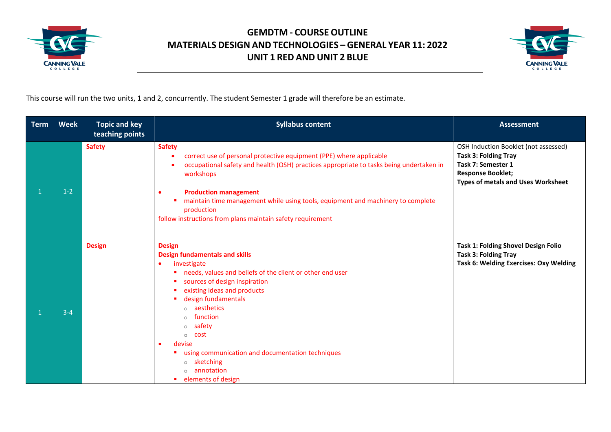



This course will run the two units, 1 and 2, concurrently. The student Semester 1 grade will therefore be an estimate.

| <b>Term</b> | <b>Week</b> | <b>Topic and key</b><br>teaching points | <b>Syllabus content</b>                                                                                                                                                                                                                                                                                                                                                                                                                                       | <b>Assessment</b>                                                                                                                                                  |
|-------------|-------------|-----------------------------------------|---------------------------------------------------------------------------------------------------------------------------------------------------------------------------------------------------------------------------------------------------------------------------------------------------------------------------------------------------------------------------------------------------------------------------------------------------------------|--------------------------------------------------------------------------------------------------------------------------------------------------------------------|
|             | $1 - 2$     | <b>Safety</b>                           | <b>Safety</b><br>correct use of personal protective equipment (PPE) where applicable<br>occupational safety and health (OSH) practices appropriate to tasks being undertaken in<br>workshops<br><b>Production management</b><br>maintain time management while using tools, equipment and machinery to complete<br>a.<br>production<br>follow instructions from plans maintain safety requirement                                                             | OSH Induction Booklet (not assessed)<br><b>Task 3: Folding Tray</b><br>Task 7: Semester 1<br><b>Response Booklet;</b><br><b>Types of metals and Uses Worksheet</b> |
|             | $3 - 4$     | <b>Design</b>                           | <b>Design</b><br><b>Design fundamentals and skills</b><br>investigate<br>٠<br>" needs, values and beliefs of the client or other end user<br>sources of design inspiration<br>existing ideas and products<br>design fundamentals<br>aesthetics<br>$\circ$<br>function<br>$\circ$<br>safety<br>$\circ$<br>cost<br>$\circ$<br>devise<br>using communication and documentation techniques<br>sketching<br>$\circ$<br>annotation<br>$\circ$<br>elements of design | <b>Task 1: Folding Shovel Design Folio</b><br><b>Task 3: Folding Tray</b><br>Task 6: Welding Exercises: Oxy Welding                                                |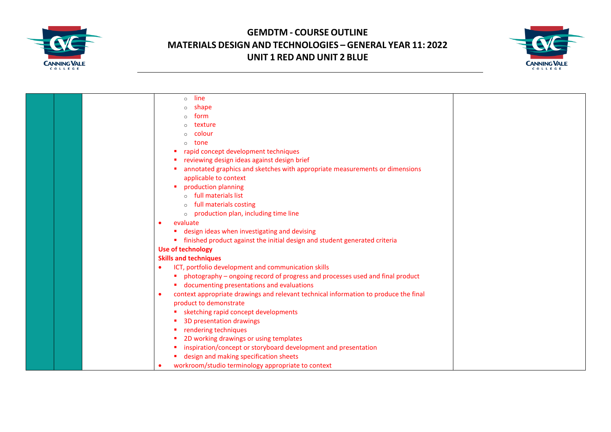



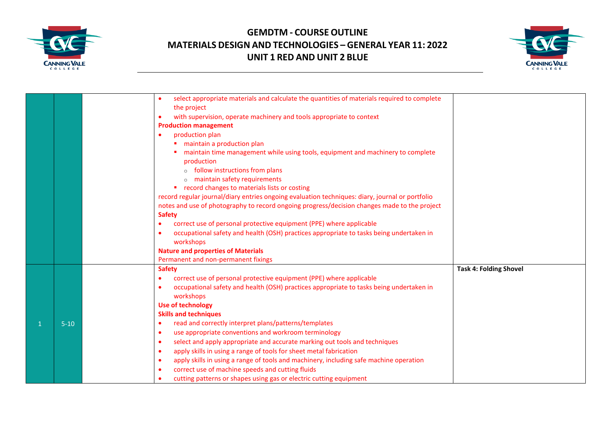



|          | select appropriate materials and calculate the quantities of materials required to complete<br>the project |                               |
|----------|------------------------------------------------------------------------------------------------------------|-------------------------------|
|          | with supervision, operate machinery and tools appropriate to context<br>$\bullet$                          |                               |
|          | <b>Production management</b>                                                                               |                               |
|          | production plan<br>$\bullet$                                                                               |                               |
|          | maintain a production plan                                                                                 |                               |
|          | maintain time management while using tools, equipment and machinery to complete                            |                               |
|          | production                                                                                                 |                               |
|          | $\circ$ follow instructions from plans                                                                     |                               |
|          | o maintain safety requirements                                                                             |                               |
|          | record changes to materials lists or costing<br>٠                                                          |                               |
|          | record regular journal/diary entries ongoing evaluation techniques: diary, journal or portfolio            |                               |
|          | notes and use of photography to record ongoing progress/decision changes made to the project               |                               |
|          | <b>Safety</b>                                                                                              |                               |
|          | correct use of personal protective equipment (PPE) where applicable<br>$\bullet$                           |                               |
|          | occupational safety and health (OSH) practices appropriate to tasks being undertaken in<br>$\bullet$       |                               |
|          | workshops                                                                                                  |                               |
|          | <b>Nature and properties of Materials</b>                                                                  |                               |
|          | Permanent and non-permanent fixings                                                                        |                               |
|          | <b>Safety</b>                                                                                              | <b>Task 4: Folding Shovel</b> |
|          | correct use of personal protective equipment (PPE) where applicable<br>$\bullet$                           |                               |
|          | occupational safety and health (OSH) practices appropriate to tasks being undertaken in<br>$\bullet$       |                               |
|          | workshops                                                                                                  |                               |
|          | <b>Use of technology</b>                                                                                   |                               |
|          | <b>Skills and techniques</b>                                                                               |                               |
| $5 - 10$ | read and correctly interpret plans/patterns/templates<br>$\bullet$                                         |                               |
|          | use appropriate conventions and workroom terminology<br>$\bullet$                                          |                               |
|          | select and apply appropriate and accurate marking out tools and techniques<br>$\bullet$                    |                               |
|          | apply skills in using a range of tools for sheet metal fabrication<br>$\bullet$                            |                               |
|          | apply skills in using a range of tools and machinery, including safe machine operation<br>$\bullet$        |                               |
|          | correct use of machine speeds and cutting fluids<br>$\bullet$                                              |                               |
|          | cutting patterns or shapes using gas or electric cutting equipment                                         |                               |
|          |                                                                                                            |                               |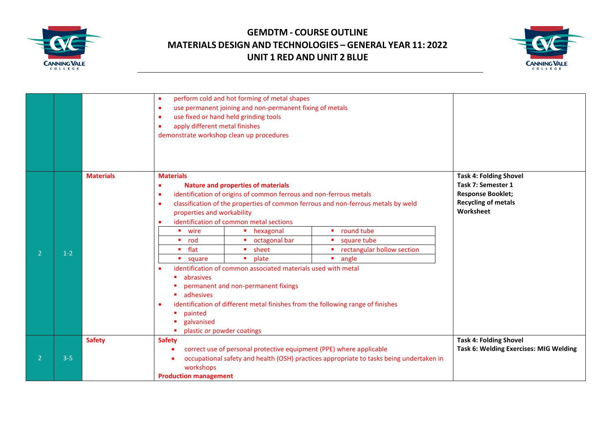



|                |         |                  | $\bullet$<br>$\bullet$<br>$\bullet$<br>apply different metal finishes<br>$\bullet$                                                                                                                                 | perform cold and hot forming of metal shapes<br>use permanent joining and non-permanent fixing of metals<br>use fixed or hand held grinding tools<br>demonstrate workshop clean up procedures                                                                                                                                                                                                                                               |                                                                                                                                                       |                                                                                                                            |
|----------------|---------|------------------|--------------------------------------------------------------------------------------------------------------------------------------------------------------------------------------------------------------------|---------------------------------------------------------------------------------------------------------------------------------------------------------------------------------------------------------------------------------------------------------------------------------------------------------------------------------------------------------------------------------------------------------------------------------------------|-------------------------------------------------------------------------------------------------------------------------------------------------------|----------------------------------------------------------------------------------------------------------------------------|
| $\mathcal{P}$  | $1 - 2$ | <b>Materials</b> | <b>Materials</b><br>$\bullet$<br>$\bullet$<br>$\bullet$<br>properties and workability<br>wire<br>$\blacksquare$ rod<br>flat<br>۰.<br>square<br>abrasives<br><b>adhesives</b><br>$\bullet$<br>painted<br>galvanised | <b>Nature and properties of materials</b><br>identification of origins of common ferrous and non-ferrous metals<br>identification of common metal sections<br>• hexagonal<br>octagonal bar<br>sheet<br>٠.<br>plate<br>identification of common associated materials used with metal<br>permanent and non-permanent fixings<br>identification of different metal finishes from the following range of finishes<br>plastic or powder coatings | classification of the properties of common ferrous and non-ferrous metals by weld<br>round tube<br>square tube<br>rectangular hollow section<br>angle | <b>Task 4: Folding Shovel</b><br>Task 7: Semester 1<br><b>Response Booklet;</b><br><b>Recycling of metals</b><br>Worksheet |
| $\overline{2}$ | $3 - 5$ | <b>Safety</b>    | <b>Safety</b><br>workshops<br><b>Production management</b>                                                                                                                                                         | correct use of personal protective equipment (PPE) where applicable                                                                                                                                                                                                                                                                                                                                                                         | occupational safety and health (OSH) practices appropriate to tasks being undertaken in                                                               | <b>Task 4: Folding Shovel</b><br><b>Task 6: Welding Exercises: MIG Welding</b>                                             |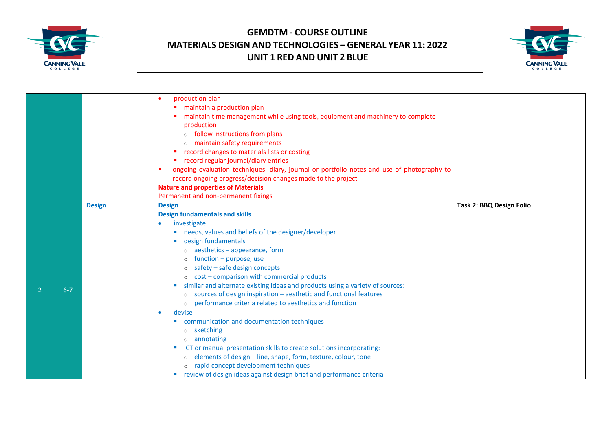



|         |               | production plan                                                                            |                          |
|---------|---------------|--------------------------------------------------------------------------------------------|--------------------------|
|         |               | maintain a production plan                                                                 |                          |
|         |               | maintain time management while using tools, equipment and machinery to complete            |                          |
|         |               | production                                                                                 |                          |
|         |               | $\circ$ follow instructions from plans                                                     |                          |
|         |               | o maintain safety requirements                                                             |                          |
|         |               | record changes to materials lists or costing                                               |                          |
|         |               | " record regular journal/diary entries                                                     |                          |
|         |               | ongoing evaluation techniques: diary, journal or portfolio notes and use of photography to |                          |
|         |               | record ongoing progress/decision changes made to the project                               |                          |
|         |               | <b>Nature and properties of Materials</b>                                                  |                          |
|         |               | Permanent and non-permanent fixings                                                        |                          |
|         | <b>Design</b> | <b>Design</b>                                                                              | Task 2: BBQ Design Folio |
|         |               | <b>Design fundamentals and skills</b>                                                      |                          |
|         |               | investigate<br>٠                                                                           |                          |
|         |               | " needs, values and beliefs of the designer/developer                                      |                          |
|         |               | design fundamentals                                                                        |                          |
|         |               | o aesthetics - appearance, form                                                            |                          |
|         |               | function - purpose, use<br>$\circ$                                                         |                          |
|         |               | safety - safe design concepts<br>$\circ$                                                   |                          |
|         |               | cost - comparison with commercial products<br>$\circ$                                      |                          |
|         |               | similar and alternate existing ideas and products using a variety of sources:              |                          |
| $6 - 7$ |               | sources of design inspiration - aesthetic and functional features                          |                          |
|         |               | performance criteria related to aesthetics and function<br>$\circ$                         |                          |
|         |               | devise<br>$\bullet$                                                                        |                          |
|         |               | communication and documentation techniques                                                 |                          |
|         |               | sketching<br>$\circ$                                                                       |                          |
|         |               | annotating<br>$\circ$                                                                      |                          |
|         |               | ICT or manual presentation skills to create solutions incorporating:                       |                          |
|         |               | elements of design - line, shape, form, texture, colour, tone                              |                          |
|         |               | o rapid concept development techniques                                                     |                          |
|         |               | review of design ideas against design brief and performance criteria                       |                          |
|         |               |                                                                                            |                          |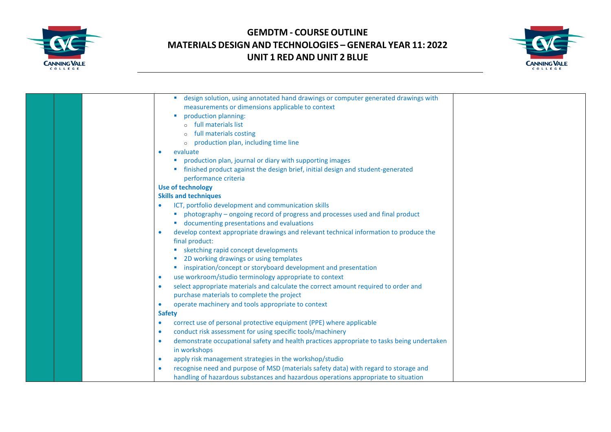



|  | design solution, using annotated hand drawings or computer generated drawings with                      |  |
|--|---------------------------------------------------------------------------------------------------------|--|
|  | measurements or dimensions applicable to context                                                        |  |
|  | production planning:                                                                                    |  |
|  | o full materials list                                                                                   |  |
|  | full materials costing                                                                                  |  |
|  | production plan, including time line                                                                    |  |
|  | evaluate<br>$\bullet$                                                                                   |  |
|  | " production plan, journal or diary with supporting images                                              |  |
|  | finished product against the design brief, initial design and student-generated                         |  |
|  | performance criteria                                                                                    |  |
|  | <b>Use of technology</b>                                                                                |  |
|  | <b>Skills and techniques</b>                                                                            |  |
|  | ICT, portfolio development and communication skills                                                     |  |
|  | photography - ongoing record of progress and processes used and final product                           |  |
|  | " documenting presentations and evaluations                                                             |  |
|  | develop context appropriate drawings and relevant technical information to produce the<br>$\bullet$     |  |
|  | final product:                                                                                          |  |
|  | sketching rapid concept developments                                                                    |  |
|  | 2D working drawings or using templates                                                                  |  |
|  | inspiration/concept or storyboard development and presentation                                          |  |
|  | use workroom/studio terminology appropriate to context<br>$\bullet$                                     |  |
|  | select appropriate materials and calculate the correct amount required to order and<br>$\bullet$        |  |
|  | purchase materials to complete the project                                                              |  |
|  | operate machinery and tools appropriate to context<br>$\bullet$                                         |  |
|  | <b>Safety</b>                                                                                           |  |
|  | correct use of personal protective equipment (PPE) where applicable<br>$\bullet$                        |  |
|  | conduct risk assessment for using specific tools/machinery<br>$\bullet$                                 |  |
|  | demonstrate occupational safety and health practices appropriate to tasks being undertaken<br>$\bullet$ |  |
|  | in workshops                                                                                            |  |
|  | apply risk management strategies in the workshop/studio<br>$\bullet$                                    |  |
|  | recognise need and purpose of MSD (materials safety data) with regard to storage and                    |  |
|  | handling of hazardous substances and hazardous operations appropriate to situation                      |  |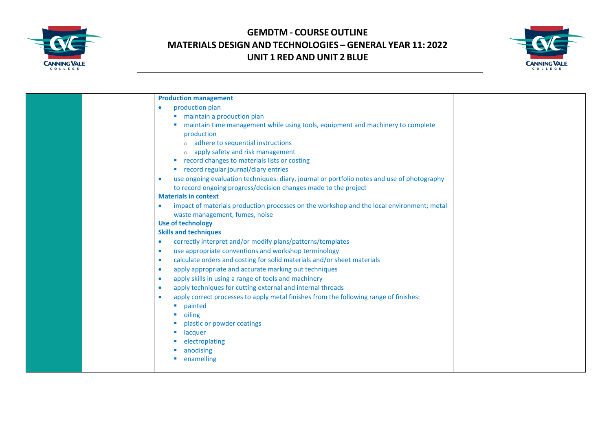



| <b>Production management</b><br>production plan<br>$\bullet$<br>■ maintain a production plan<br>maintain time management while using tools, equipment and machinery to complete<br>production<br>o adhere to sequential instructions<br>o apply safety and risk management<br>■ record changes to materials lists or costing<br>■ record regular journal/diary entries<br>use ongoing evaluation techniques: diary, journal or portfolio notes and use of photography<br>$\bullet$<br>to record ongoing progress/decision changes made to the project<br><b>Materials in context</b><br>impact of materials production processes on the workshop and the local environment; metal<br>$\bullet$<br>waste management, fumes, noise<br><b>Use of technology</b><br><b>Skills and techniques</b><br>correctly interpret and/or modify plans/patterns/templates<br>$\bullet$<br>use appropriate conventions and workshop terminology<br>$\bullet$<br>calculate orders and costing for solid materials and/or sheet materials<br>$\bullet$<br>apply appropriate and accurate marking out techniques<br>$\bullet$ |
|------------------------------------------------------------------------------------------------------------------------------------------------------------------------------------------------------------------------------------------------------------------------------------------------------------------------------------------------------------------------------------------------------------------------------------------------------------------------------------------------------------------------------------------------------------------------------------------------------------------------------------------------------------------------------------------------------------------------------------------------------------------------------------------------------------------------------------------------------------------------------------------------------------------------------------------------------------------------------------------------------------------------------------------------------------------------------------------------------------|
|                                                                                                                                                                                                                                                                                                                                                                                                                                                                                                                                                                                                                                                                                                                                                                                                                                                                                                                                                                                                                                                                                                            |
|                                                                                                                                                                                                                                                                                                                                                                                                                                                                                                                                                                                                                                                                                                                                                                                                                                                                                                                                                                                                                                                                                                            |
|                                                                                                                                                                                                                                                                                                                                                                                                                                                                                                                                                                                                                                                                                                                                                                                                                                                                                                                                                                                                                                                                                                            |
|                                                                                                                                                                                                                                                                                                                                                                                                                                                                                                                                                                                                                                                                                                                                                                                                                                                                                                                                                                                                                                                                                                            |
|                                                                                                                                                                                                                                                                                                                                                                                                                                                                                                                                                                                                                                                                                                                                                                                                                                                                                                                                                                                                                                                                                                            |
|                                                                                                                                                                                                                                                                                                                                                                                                                                                                                                                                                                                                                                                                                                                                                                                                                                                                                                                                                                                                                                                                                                            |
|                                                                                                                                                                                                                                                                                                                                                                                                                                                                                                                                                                                                                                                                                                                                                                                                                                                                                                                                                                                                                                                                                                            |
|                                                                                                                                                                                                                                                                                                                                                                                                                                                                                                                                                                                                                                                                                                                                                                                                                                                                                                                                                                                                                                                                                                            |
|                                                                                                                                                                                                                                                                                                                                                                                                                                                                                                                                                                                                                                                                                                                                                                                                                                                                                                                                                                                                                                                                                                            |
|                                                                                                                                                                                                                                                                                                                                                                                                                                                                                                                                                                                                                                                                                                                                                                                                                                                                                                                                                                                                                                                                                                            |
|                                                                                                                                                                                                                                                                                                                                                                                                                                                                                                                                                                                                                                                                                                                                                                                                                                                                                                                                                                                                                                                                                                            |
|                                                                                                                                                                                                                                                                                                                                                                                                                                                                                                                                                                                                                                                                                                                                                                                                                                                                                                                                                                                                                                                                                                            |
|                                                                                                                                                                                                                                                                                                                                                                                                                                                                                                                                                                                                                                                                                                                                                                                                                                                                                                                                                                                                                                                                                                            |
|                                                                                                                                                                                                                                                                                                                                                                                                                                                                                                                                                                                                                                                                                                                                                                                                                                                                                                                                                                                                                                                                                                            |
|                                                                                                                                                                                                                                                                                                                                                                                                                                                                                                                                                                                                                                                                                                                                                                                                                                                                                                                                                                                                                                                                                                            |
|                                                                                                                                                                                                                                                                                                                                                                                                                                                                                                                                                                                                                                                                                                                                                                                                                                                                                                                                                                                                                                                                                                            |
|                                                                                                                                                                                                                                                                                                                                                                                                                                                                                                                                                                                                                                                                                                                                                                                                                                                                                                                                                                                                                                                                                                            |
|                                                                                                                                                                                                                                                                                                                                                                                                                                                                                                                                                                                                                                                                                                                                                                                                                                                                                                                                                                                                                                                                                                            |
|                                                                                                                                                                                                                                                                                                                                                                                                                                                                                                                                                                                                                                                                                                                                                                                                                                                                                                                                                                                                                                                                                                            |
|                                                                                                                                                                                                                                                                                                                                                                                                                                                                                                                                                                                                                                                                                                                                                                                                                                                                                                                                                                                                                                                                                                            |
| apply skills in using a range of tools and machinery<br>$\bullet$                                                                                                                                                                                                                                                                                                                                                                                                                                                                                                                                                                                                                                                                                                                                                                                                                                                                                                                                                                                                                                          |
| apply techniques for cutting external and internal threads<br>$\bullet$                                                                                                                                                                                                                                                                                                                                                                                                                                                                                                                                                                                                                                                                                                                                                                                                                                                                                                                                                                                                                                    |
| apply correct processes to apply metal finishes from the following range of finishes:<br>$\bullet$                                                                                                                                                                                                                                                                                                                                                                                                                                                                                                                                                                                                                                                                                                                                                                                                                                                                                                                                                                                                         |
| painted<br><b>CO</b>                                                                                                                                                                                                                                                                                                                                                                                                                                                                                                                                                                                                                                                                                                                                                                                                                                                                                                                                                                                                                                                                                       |
| oiling                                                                                                                                                                                                                                                                                                                                                                                                                                                                                                                                                                                                                                                                                                                                                                                                                                                                                                                                                                                                                                                                                                     |
| plastic or powder coatings                                                                                                                                                                                                                                                                                                                                                                                                                                                                                                                                                                                                                                                                                                                                                                                                                                                                                                                                                                                                                                                                                 |
| lacquer                                                                                                                                                                                                                                                                                                                                                                                                                                                                                                                                                                                                                                                                                                                                                                                                                                                                                                                                                                                                                                                                                                    |
| electroplating                                                                                                                                                                                                                                                                                                                                                                                                                                                                                                                                                                                                                                                                                                                                                                                                                                                                                                                                                                                                                                                                                             |
| anodising                                                                                                                                                                                                                                                                                                                                                                                                                                                                                                                                                                                                                                                                                                                                                                                                                                                                                                                                                                                                                                                                                                  |
| enamelling                                                                                                                                                                                                                                                                                                                                                                                                                                                                                                                                                                                                                                                                                                                                                                                                                                                                                                                                                                                                                                                                                                 |
|                                                                                                                                                                                                                                                                                                                                                                                                                                                                                                                                                                                                                                                                                                                                                                                                                                                                                                                                                                                                                                                                                                            |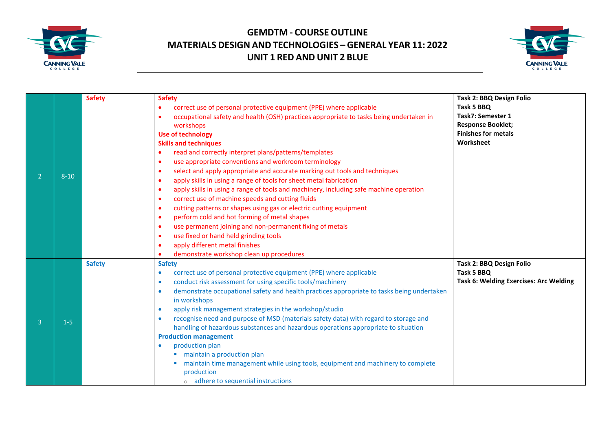



|                |          | <b>Safety</b> | <b>Safety</b>                                                                                           | Task 2: BBQ Design Folio               |
|----------------|----------|---------------|---------------------------------------------------------------------------------------------------------|----------------------------------------|
|                |          |               | correct use of personal protective equipment (PPE) where applicable                                     | Task 5 BBQ                             |
|                |          |               | occupational safety and health (OSH) practices appropriate to tasks being undertaken in                 | <b>Task7: Semester 1</b>               |
|                |          |               | workshops                                                                                               | <b>Response Booklet;</b>               |
|                |          |               | <b>Use of technology</b>                                                                                | <b>Finishes for metals</b>             |
|                |          |               | <b>Skills and techniques</b>                                                                            | Worksheet                              |
|                |          |               | read and correctly interpret plans/patterns/templates                                                   |                                        |
|                |          |               | use appropriate conventions and workroom terminology<br>$\bullet$                                       |                                        |
|                |          |               | select and apply appropriate and accurate marking out tools and techniques<br>- 0                       |                                        |
|                | $8 - 10$ |               | apply skills in using a range of tools for sheet metal fabrication<br>$\bullet$                         |                                        |
|                |          |               | apply skills in using a range of tools and machinery, including safe machine operation<br>$\bullet$     |                                        |
|                |          |               | correct use of machine speeds and cutting fluids<br>$\bullet$                                           |                                        |
|                |          |               | cutting patterns or shapes using gas or electric cutting equipment                                      |                                        |
|                |          |               | perform cold and hot forming of metal shapes<br>$\bullet$                                               |                                        |
|                |          |               | use permanent joining and non-permanent fixing of metals<br>$\bullet$                                   |                                        |
|                |          |               | use fixed or hand held grinding tools<br>$\bullet$                                                      |                                        |
|                |          |               | apply different metal finishes                                                                          |                                        |
|                |          |               | demonstrate workshop clean up procedures                                                                |                                        |
|                |          | <b>Safety</b> | <b>Safety</b>                                                                                           | Task 2: BBQ Design Folio               |
|                |          |               | correct use of personal protective equipment (PPE) where applicable                                     | Task 5 BBQ                             |
| $\overline{3}$ |          |               | conduct risk assessment for using specific tools/machinery<br>$\bullet$                                 | Task 6: Welding Exercises: Arc Welding |
|                | $1-5$    |               | demonstrate occupational safety and health practices appropriate to tasks being undertaken<br>$\bullet$ |                                        |
|                |          |               | in workshops                                                                                            |                                        |
|                |          |               | apply risk management strategies in the workshop/studio<br>$\bullet$                                    |                                        |
|                |          |               | recognise need and purpose of MSD (materials safety data) with regard to storage and<br>۰               |                                        |
|                |          |               | handling of hazardous substances and hazardous operations appropriate to situation                      |                                        |
|                |          |               | <b>Production management</b>                                                                            |                                        |
|                |          |               | production plan<br>۰                                                                                    |                                        |
|                |          |               | maintain a production plan                                                                              |                                        |
|                |          |               | maintain time management while using tools, equipment and machinery to complete                         |                                        |
|                |          |               | production                                                                                              |                                        |
|                |          |               | o adhere to sequential instructions                                                                     |                                        |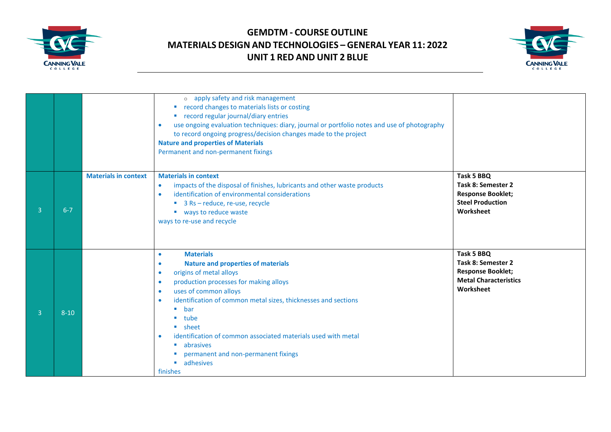



|                |          |                             | o apply safety and risk management<br>record changes to materials lists or costing<br>" record regular journal/diary entries<br>use ongoing evaluation techniques: diary, journal or portfolio notes and use of photography<br>$\bullet$<br>to record ongoing progress/decision changes made to the project<br><b>Nature and properties of Materials</b><br>Permanent and non-permanent fixings                                                                                                                                                  |                                                                                                           |
|----------------|----------|-----------------------------|--------------------------------------------------------------------------------------------------------------------------------------------------------------------------------------------------------------------------------------------------------------------------------------------------------------------------------------------------------------------------------------------------------------------------------------------------------------------------------------------------------------------------------------------------|-----------------------------------------------------------------------------------------------------------|
| $\overline{3}$ | $6 - 7$  | <b>Materials in context</b> | <b>Materials in context</b><br>impacts of the disposal of finishes, lubricants and other waste products<br>$\bullet$<br>identification of environmental considerations<br>$\bullet$<br>■ 3 Rs - reduce, re-use, recycle<br>■ ways to reduce waste<br>ways to re-use and recycle                                                                                                                                                                                                                                                                  | Task 5 BBQ<br>Task 8: Semester 2<br><b>Response Booklet;</b><br><b>Steel Production</b><br>Worksheet      |
| 3              | $8 - 10$ |                             | <b>Materials</b><br>$\bullet$<br><b>Nature and properties of materials</b><br>$\bullet$<br>origins of metal alloys<br>$\bullet$<br>production processes for making alloys<br>$\bullet$<br>uses of common alloys<br>$\bullet$<br>identification of common metal sizes, thicknesses and sections<br>$\bullet$<br>$\blacksquare$ bar<br>tube<br>$\blacksquare$ sheet<br>identification of common associated materials used with metal<br>$\bullet$<br>• abrasives<br>permanent and non-permanent fixings<br>adhesives<br>$\blacksquare$<br>finishes | Task 5 BBQ<br>Task 8: Semester 2<br><b>Response Booklet;</b><br><b>Metal Characteristics</b><br>Worksheet |